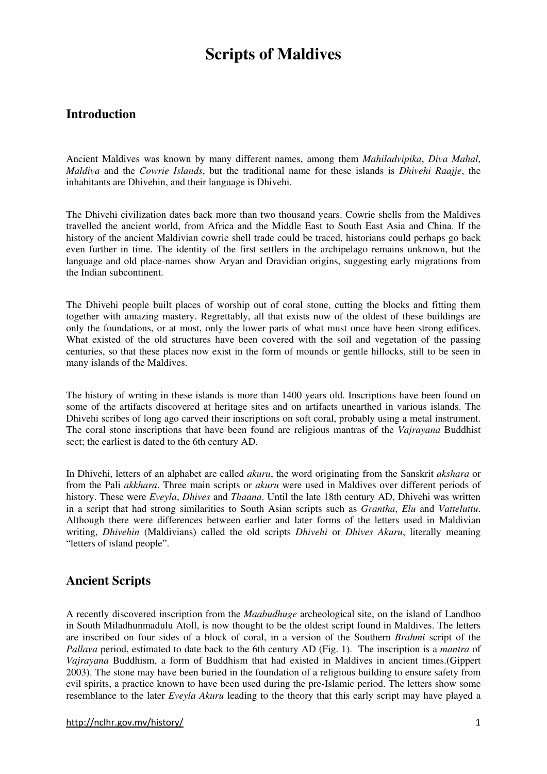# **Scripts of Maldives**

## **Introduction**

Ancient Maldives was known by many different names, among them *Mahiladvipika*, *Diva Mahal*, *Maldiva* and the *Cowrie Islands*, but the traditional name for these islands is *Dhivehi Raajje*, the inhabitants are Dhivehin, and their language is Dhivehi.

The Dhivehi civilization dates back more than two thousand years. Cowrie shells from the Maldives travelled the ancient world, from Africa and the Middle East to South East Asia and China. If the history of the ancient Maldivian cowrie shell trade could be traced, historians could perhaps go back even further in time. The identity of the first settlers in the archipelago remains unknown, but the language and old place-names show Aryan and Dravidian origins, suggesting early migrations from the Indian subcontinent.

The Dhivehi people built places of worship out of coral stone, cutting the blocks and fitting them together with amazing mastery. Regrettably, all that exists now of the oldest of these buildings are only the foundations, or at most, only the lower parts of what must once have been strong edifices. What existed of the old structures have been covered with the soil and vegetation of the passing centuries, so that these places now exist in the form of mounds or gentle hillocks, still to be seen in many islands of the Maldives.

The history of writing in these islands is more than 1400 years old. Inscriptions have been found on some of the artifacts discovered at heritage sites and on artifacts unearthed in various islands. The Dhivehi scribes of long ago carved their inscriptions on soft coral, probably using a metal instrument. The coral stone inscriptions that have been found are religious mantras of the *Vajrayana* Buddhist sect; the earliest is dated to the 6th century AD.

In Dhivehi, letters of an alphabet are called *akuru*, the word originating from the Sanskrit *akshara* or from the Pali *akkhara*. Three main scripts or *akuru* were used in Maldives over different periods of history. These were *Eveyla*, *Dhives* and *Thaana*. Until the late 18th century AD, Dhivehi was written in a script that had strong similarities to South Asian scripts such as *Grantha*, *Elu* and *Vatteluttu*. Although there were differences between earlier and later forms of the letters used in Maldivian writing, *Dhivehin* (Maldivians) called the old scripts *Dhivehi* or *Dhives Akuru*, literally meaning "letters of island people".

## **Ancient Scripts**

A recently discovered inscription from the *Maabudhuge* archeological site, on the island of Landhoo in South Miladhunmadulu Atoll, is now thought to be the oldest script found in Maldives. The letters are inscribed on four sides of a block of coral, in a version of the Southern *Brahmi* script of the *Pallava* period, estimated to date back to the 6th century AD (Fig. 1). The inscription is a *mantra* of *Vajrayana* Buddhism, a form of Buddhism that had existed in Maldives in ancient times.(Gippert 2003). The stone may have been buried in the foundation of a religious building to ensure safety from evil spirits, a practice known to have been used during the pre-Islamic period. The letters show some resemblance to the later *Eveyla Akuru* leading to the theory that this early script may have played a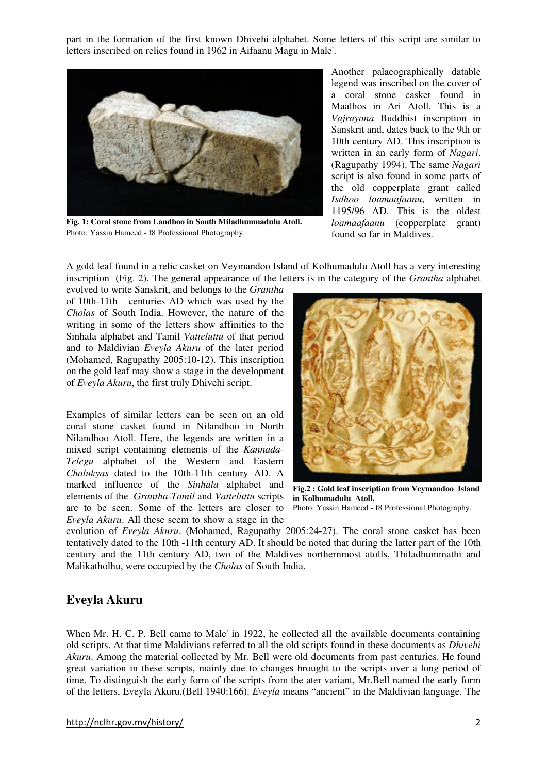part in the formation of the first known Dhivehi alphabet. Some letters of this script are similar to letters inscribed on relics found in 1962 in Aifaanu Magu in Male'.



**Fig. 1: Coral stone from Landhoo in South Miladhunmadulu Atoll.**  Photo: Yassin Hameed - f8 Professional Photography.

Another palaeographically datable legend was inscribed on the cover of a coral stone casket found in Maalhos in Ari Atoll. This is a *Vajrayana* Buddhist inscription in Sanskrit and, dates back to the 9th or 10th century AD. This inscription is written in an early form of *Nagari*. (Ragupathy 1994). The same *Nagari*  script is also found in some parts of the old copperplate grant called *Isdhoo loamaafaanu*, written in 1195/96 AD. This is the oldest *loamaafaanu* (copperplate grant) found so far in Maldives.

A gold leaf found in a relic casket on Veymandoo Island of Kolhumadulu Atoll has a very interesting inscription (Fig. 2). The general appearance of the letters is in the category of the *Grantha* alphabet

evolved to write Sanskrit, and belongs to the *Grantha* of 10th-11th centuries AD which was used by the *Cholas* of South India. However, the nature of the writing in some of the letters show affinities to the Sinhala alphabet and Tamil *Vatteluttu* of that period and to Maldivian *Eveyla Akuru* of the later period (Mohamed, Ragupathy 2005:10-12). This inscription on the gold leaf may show a stage in the development of *Eveyla Akuru*, the first truly Dhivehi script.

Examples of similar letters can be seen on an old coral stone casket found in Nilandhoo in North Nilandhoo Atoll. Here, the legends are written in a mixed script containing elements of the *Kannada-Telegu* alphabet of the Western and Eastern *Chalukyas* dated to the 10th-11th century AD. A marked influence of the *Sinhala* alphabet and elements of the *Grantha-Tamil* and *Vatteluttu* scripts are to be seen. Some of the letters are closer to *Eveyla Akuru*. All these seem to show a stage in the



**Fig.2 : Gold leaf inscription from Veymandoo Island in Kolhumadulu Atoll.** 

Photo: Yassin Hameed - f8 Professional Photography.

evolution of *Eveyla Akuru*. (Mohamed, Ragupathy 2005:24-27). The coral stone casket has been tentatively dated to the 10th -11th century AD. It should be noted that during the latter part of the 10th century and the 11th century AD, two of the Maldives northernmost atolls, Thiladhummathi and Malikatholhu, were occupied by the *Cholas* of South India.

### **Eveyla Akuru**

When Mr. H. C. P. Bell came to Male' in 1922, he collected all the available documents containing old scripts. At that time Maldivians referred to all the old scripts found in these documents as *Dhivehi Akuru*. Among the material collected by Mr. Bell were old documents from past centuries. He found great variation in these scripts, mainly due to changes brought to the scripts over a long period of time. To distinguish the early form of the scripts from the ater variant, Mr.Bell named the early form of the letters, Eveyla Akuru.(Bell 1940:166). *Eveyla* means "ancient" in the Maldivian language. The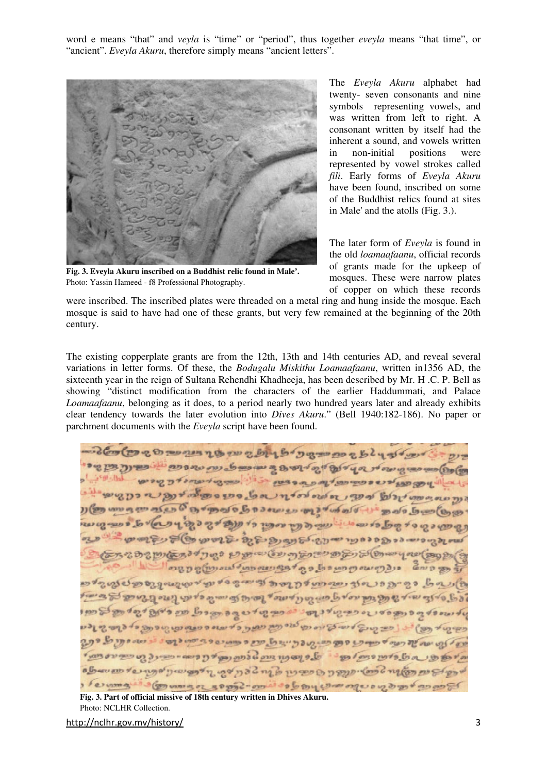word e means "that" and *veyla* is "time" or "period", thus together *eveyla* means "that time", or "ancient". *Eveyla Akuru*, therefore simply means "ancient letters".



**Fig. 3. Eveyla Akuru inscribed on a Buddhist relic found in Male'.**  Photo: Yassin Hameed - f8 Professional Photography.

The *Eveyla Akuru* alphabet had twenty- seven consonants and nine symbols representing vowels, and was written from left to right. A consonant written by itself had the inherent a sound, and vowels written in non-initial positions were represented by vowel strokes called *fili*. Early forms of *Eveyla Akuru* have been found, inscribed on some of the Buddhist relics found at sites in Male' and the atolls (Fig. 3.).

The later form of *Eveyla* is found in the old *loamaafaanu*, official records of grants made for the upkeep of mosques. These were narrow plates of copper on which these records

were inscribed. The inscribed plates were threaded on a metal ring and hung inside the mosque. Each mosque is said to have had one of these grants, but very few remained at the beginning of the 20th century.

The existing copperplate grants are from the 12th, 13th and 14th centuries AD, and reveal several variations in letter forms. Of these, the *Bodugalu Miskithu Loamaafaanu*, written in1356 AD, the sixteenth year in the reign of Sultana Rehendhi Khadheeja, has been described by Mr. H .C. P. Bell as showing "distinct modification from the characters of the earlier Haddummati, and Palace *Loamaafaanu*, belonging as it does, to a period nearly two hundred years later and already exhibits clear tendency towards the later evolution into *Dives Akuru*." (Bell 1940:182-186). No paper or parchment documents with the *Eveyla* script have been found.

בנק לישי לקיים לעל ה מת ישרף ליל לי עם לי מי ליך בעי שי הי היי ליל ליים בנת עם מימי לגול לי עדי נה להל הוא נה ל מעו ב שלה לנפי בי בת שישי ליט ரஞாமா காவல் நாதை நாகாம மார்க்கப்பட் தவி நிறை குற נשיפטי כשים ל שול שומו של שבי ה תיי היו מות אי ה ה היו נישו כא ים בי שבי היי שי לשיות היסיבים בפרו ביותו ישיתה לשמות ומים של שיושים של כשיות של ייתו a con content for engine to man and a communication פלעים ל ידיים ונעים ומחימים קדיים לריים בל ישי לייטוניויות וספי לקטהילים ביק פי גלב שיל שיתה בפיר ירושל פיוי בטול מות לי עומים לי בי נייי ה פלי יבי ביו בי בי בי בי בי ביים נול ומו של בי כ מוש שינו בי כובי של בי בי כובי של כל בי בי בי היות לי הוא בי בי הוא בי הוא רוקינו לי הפון ליב | כפי קטוב ליושי בי וחיותי לגום ונית ונתוך ב ליובוג ה מבת נתו הו ה תפי כל הקום לי נית יום לנט יעת על רעת לי כוויי כן ל מוגנותו בריינויות עם ה כוויינים כבי יותי לדוש ל בניה הקינ על התנה ות אפת מים של פליטו בנית ל פפי לגם נוסף נות להלכתה נפיילי כך ביוחס ייכוביו כל כיובי ידים ביותי ל הקולה מת הקלוחי למטלי מתפרת הפירויו לבין לה לב נילי הי הי הפינוייני ליותו ישי לי מם יואלם לקיפה מה לקביע ביטורים ומיתו להתו להתו ההתו בה בישוא ותו שלכ ליציאות ועל

**Fig. 3. Part of official missive of 18th century written in Dhives Akuru.**  Photo: NCLHR Collection.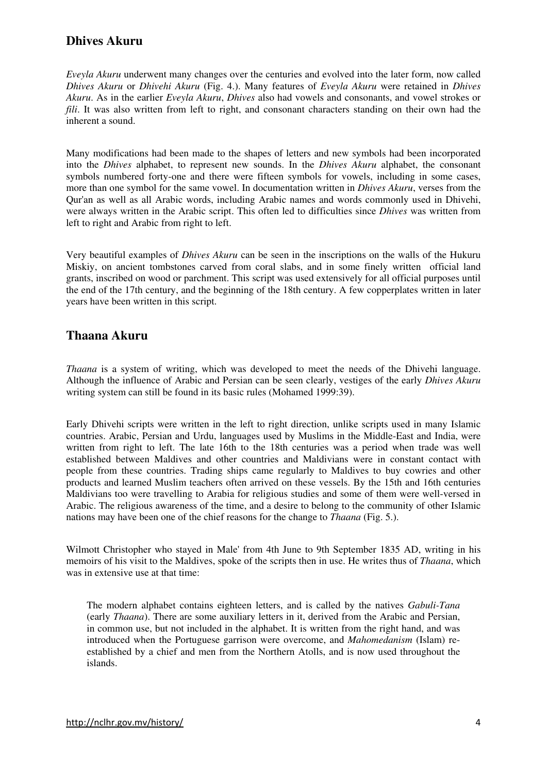## **Dhives Akuru**

*Eveyla Akuru* underwent many changes over the centuries and evolved into the later form, now called *Dhives Akuru* or *Dhivehi Akuru* (Fig. 4.). Many features of *Eveyla Akuru* were retained in *Dhives Akuru*. As in the earlier *Eveyla Akuru*, *Dhives* also had vowels and consonants, and vowel strokes or *fili*. It was also written from left to right, and consonant characters standing on their own had the inherent a sound.

Many modifications had been made to the shapes of letters and new symbols had been incorporated into the *Dhives* alphabet, to represent new sounds. In the *Dhives Akuru* alphabet, the consonant symbols numbered forty-one and there were fifteen symbols for vowels, including in some cases, more than one symbol for the same vowel. In documentation written in *Dhives Akuru*, verses from the Qur'an as well as all Arabic words, including Arabic names and words commonly used in Dhivehi, were always written in the Arabic script. This often led to difficulties since *Dhives* was written from left to right and Arabic from right to left.

Very beautiful examples of *Dhives Akuru* can be seen in the inscriptions on the walls of the Hukuru Miskiy, on ancient tombstones carved from coral slabs, and in some finely written official land grants, inscribed on wood or parchment. This script was used extensively for all official purposes until the end of the 17th century, and the beginning of the 18th century. A few copperplates written in later years have been written in this script.

#### **Thaana Akuru**

*Thaana* is a system of writing, which was developed to meet the needs of the Dhivehi language. Although the influence of Arabic and Persian can be seen clearly, vestiges of the early *Dhives Akuru* writing system can still be found in its basic rules (Mohamed 1999:39).

Early Dhivehi scripts were written in the left to right direction, unlike scripts used in many Islamic countries. Arabic, Persian and Urdu, languages used by Muslims in the Middle-East and India, were written from right to left. The late 16th to the 18th centuries was a period when trade was well established between Maldives and other countries and Maldivians were in constant contact with people from these countries. Trading ships came regularly to Maldives to buy cowries and other products and learned Muslim teachers often arrived on these vessels. By the 15th and 16th centuries Maldivians too were travelling to Arabia for religious studies and some of them were well-versed in Arabic. The religious awareness of the time, and a desire to belong to the community of other Islamic nations may have been one of the chief reasons for the change to *Thaana* (Fig. 5.).

Wilmott Christopher who stayed in Male' from 4th June to 9th September 1835 AD, writing in his memoirs of his visit to the Maldives, spoke of the scripts then in use. He writes thus of *Thaana*, which was in extensive use at that time:

The modern alphabet contains eighteen letters, and is called by the natives *Gabuli-Tana* (early *Thaana*). There are some auxiliary letters in it, derived from the Arabic and Persian, in common use, but not included in the alphabet. It is written from the right hand, and was introduced when the Portuguese garrison were overcome, and *Mahomedanism* (Islam) reestablished by a chief and men from the Northern Atolls, and is now used throughout the islands.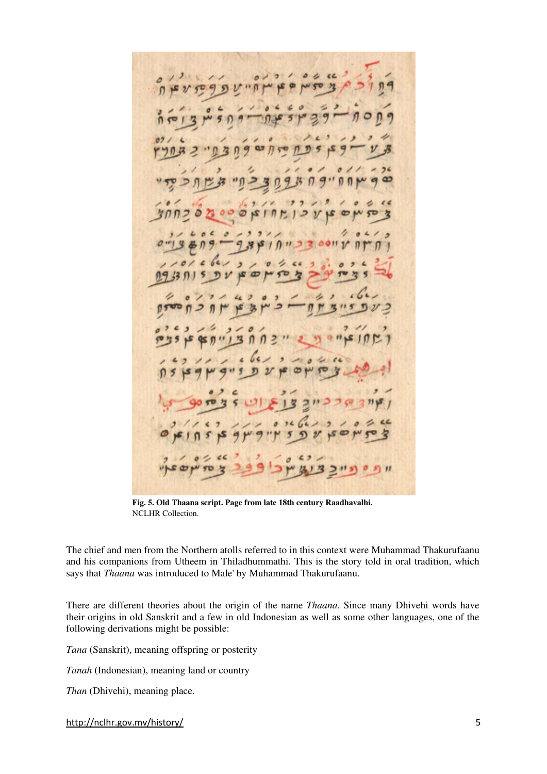$B<sup>2</sup>$  $124$  $50$  $\omega$  $\mathcal{V}$  $\epsilon$  $\mathcal{P}$ n  $\overline{z}$  $\sigma$ 2933 ع 增 ቁ≤ ກ  $73,15$ ð

**Fig. 5. Old Thaana script. Page from late 18th century Raadhavalhi.**  NCLHR Collection.

The chief and men from the Northern atolls referred to in this context were Muhammad Thakurufaanu and his companions from Utheem in Thiladhummathi. This is the story told in oral tradition, which says that *Thaana* was introduced to Male' by Muhammad Thakurufaanu.

There are different theories about the origin of the name *Thaana*. Since many Dhivehi words have their origins in old Sanskrit and a few in old Indonesian as well as some other languages, one of the following derivations might be possible:

*Tana* (Sanskrit), meaning offspring or posterity

*Tanah* (Indonesian), meaning land or country

*Than* (Dhivehi), meaning place.

http://nclhr.gov.mv/history/ 5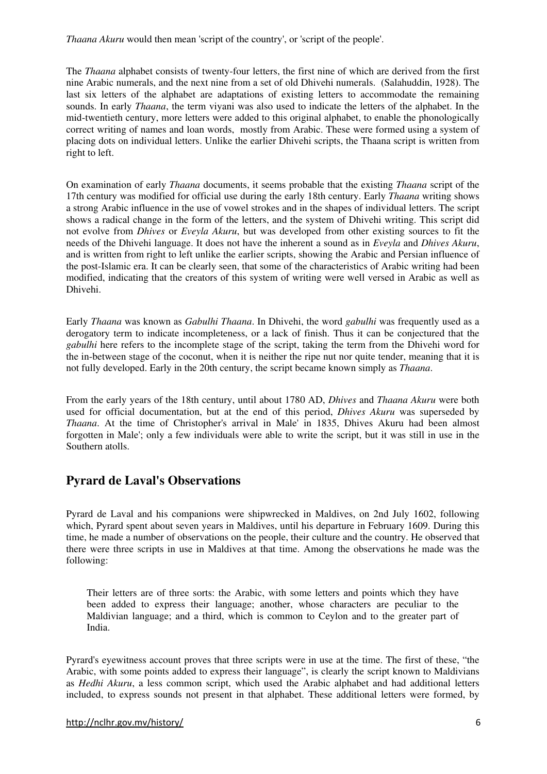*Thaana Akuru* would then mean 'script of the country', or 'script of the people'.

The *Thaana* alphabet consists of twenty-four letters, the first nine of which are derived from the first nine Arabic numerals, and the next nine from a set of old Dhivehi numerals. (Salahuddin, 1928). The last six letters of the alphabet are adaptations of existing letters to accommodate the remaining sounds. In early *Thaana*, the term viyani was also used to indicate the letters of the alphabet. In the mid-twentieth century, more letters were added to this original alphabet, to enable the phonologically correct writing of names and loan words, mostly from Arabic. These were formed using a system of placing dots on individual letters. Unlike the earlier Dhivehi scripts, the Thaana script is written from right to left.

On examination of early *Thaana* documents, it seems probable that the existing *Thaana* script of the 17th century was modified for official use during the early 18th century. Early *Thaana* writing shows a strong Arabic influence in the use of vowel strokes and in the shapes of individual letters. The script shows a radical change in the form of the letters, and the system of Dhivehi writing. This script did not evolve from *Dhives* or *Eveyla Akuru*, but was developed from other existing sources to fit the needs of the Dhivehi language. It does not have the inherent a sound as in *Eveyla* and *Dhives Akuru*, and is written from right to left unlike the earlier scripts, showing the Arabic and Persian influence of the post-Islamic era. It can be clearly seen, that some of the characteristics of Arabic writing had been modified, indicating that the creators of this system of writing were well versed in Arabic as well as Dhivehi.

Early *Thaana* was known as *Gabulhi Thaana*. In Dhivehi, the word *gabulhi* was frequently used as a derogatory term to indicate incompleteness, or a lack of finish. Thus it can be conjectured that the *gabulhi* here refers to the incomplete stage of the script, taking the term from the Dhivehi word for the in-between stage of the coconut, when it is neither the ripe nut nor quite tender, meaning that it is not fully developed. Early in the 20th century, the script became known simply as *Thaana*.

From the early years of the 18th century, until about 1780 AD, *Dhives* and *Thaana Akuru* were both used for official documentation, but at the end of this period, *Dhives Akuru* was superseded by *Thaana*. At the time of Christopher's arrival in Male' in 1835, Dhives Akuru had been almost forgotten in Male'; only a few individuals were able to write the script, but it was still in use in the Southern atolls.

## **Pyrard de Laval's Observations**

Pyrard de Laval and his companions were shipwrecked in Maldives, on 2nd July 1602, following which, Pyrard spent about seven years in Maldives, until his departure in February 1609. During this time, he made a number of observations on the people, their culture and the country. He observed that there were three scripts in use in Maldives at that time. Among the observations he made was the following:

Their letters are of three sorts: the Arabic, with some letters and points which they have been added to express their language; another, whose characters are peculiar to the Maldivian language; and a third, which is common to Ceylon and to the greater part of India.

Pyrard's eyewitness account proves that three scripts were in use at the time. The first of these, "the Arabic, with some points added to express their language", is clearly the script known to Maldivians as *Hedhi Akuru*, a less common script, which used the Arabic alphabet and had additional letters included, to express sounds not present in that alphabet. These additional letters were formed, by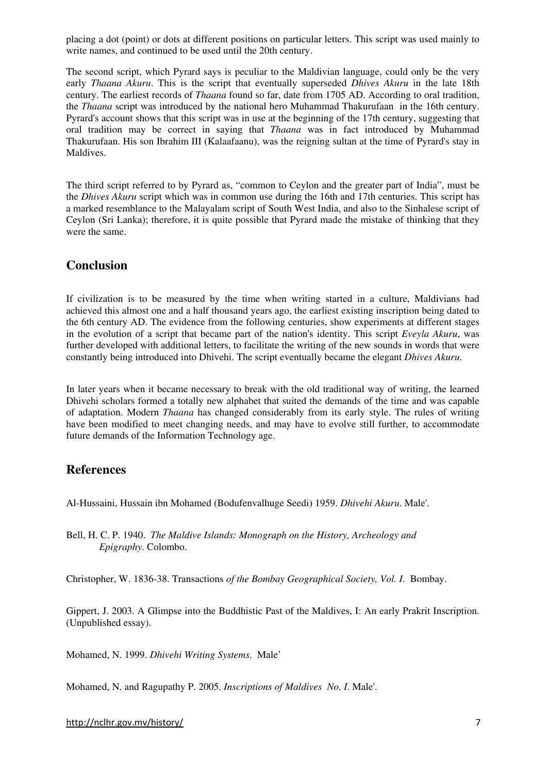placing a dot (point) or dots at different positions on particular letters. This script was used mainly to write names, and continued to be used until the 20th century.

The second script, which Pyrard says is peculiar to the Maldivian language, could only be the very early *Thaana Akuru*. This is the script that eventually superseded *Dhives Akuru* in the late 18th century. The earliest records of *Thaana* found so far, date from 1705 AD. According to oral tradition, the *Thaana* script was introduced by the national hero Muhammad Thakurufaan in the 16th century. Pyrard's account shows that this script was in use at the beginning of the 17th century, suggesting that oral tradition may be correct in saying that *Thaana* was in fact introduced by Muhammad Thakurufaan. His son Ibrahim III (Kalaafaanu), was the reigning sultan at the time of Pyrard's stay in Maldives.

The third script referred to by Pyrard as, "common to Ceylon and the greater part of India", must be the *Dhives Akuru* script which was in common use during the 16th and 17th centuries. This script has a marked resemblance to the Malayalam script of South West India, and also to the Sinhalese script of Ceylon (Sri Lanka); therefore, it is quite possible that Pyrard made the mistake of thinking that they were the same.

#### **Conclusion**

If civilization is to be measured by the time when writing started in a culture, Maldivians had achieved this almost one and a half thousand years ago, the earliest existing inscription being dated to the 6th century AD. The evidence from the following centuries, show experiments at different stages in the evolution of a script that became part of the nation's identity. This script *Eveyla Akuru*, was further developed with additional letters, to facilitate the writing of the new sounds in words that were constantly being introduced into Dhivehi. The script eventually became the elegant *Dhives Akuru*.

In later years when it became necessary to break with the old traditional way of writing, the learned Dhivehi scholars formed a totally new alphabet that suited the demands of the time and was capable of adaptation. Modern *Thaana* has changed considerably from its early style. The rules of writing have been modified to meet changing needs, and may have to evolve still further, to accommodate future demands of the Information Technology age.

### **References**

Al-Hussaini, Hussain ibn Mohamed (Bodufenvalhuge Seedi) 1959. *Dhivehi Akuru*. Male'.

Bell, H. C. P. 1940. *The Maldive Islands: Monograph on the History, Archeology and Epigraphy*. Colombo.

Christopher, W. 1836-38. Transactions *of the Bombay Geographical Society, Vol. I*. Bombay.

Gippert, J. 2003. A Glimpse into the Buddhistic Past of the Maldives, I: An early Prakrit Inscription. (Unpublished essay).

Mohamed, N. 1999. *Dhivehi Writing Systems*. Male'

Mohamed, N. and Ragupathy P. 2005. *Inscriptions of Maldives No. I*. Male'.